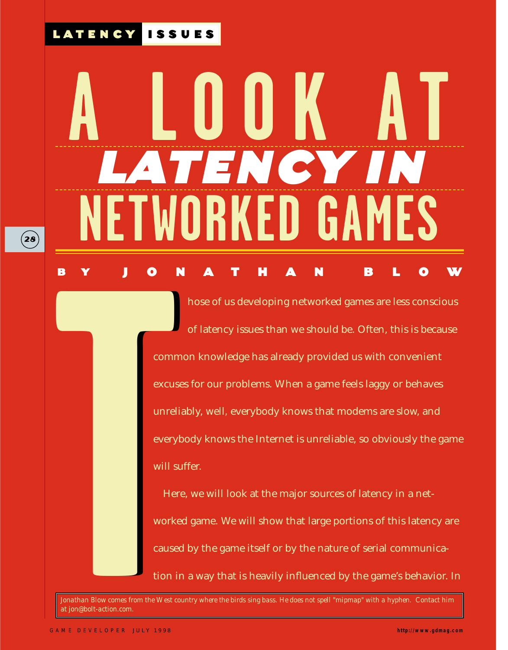# **A LOOK AT** ATENCY I **TWORKED GAMES** BY JONATHAN BLOW

hose of us developing networked games are less conscious of latency issues than we should be. Often, this is because common knowledge has already provided us with convenient excuses for our problems. When a game feels laggy or behaves unreliably, well*,* everybody knows that modems are slow, and everybody knows the Internet is unreliable, so obviously the game will suffer. **B**<br> **T**<br>
comm<br>
excuse<br>
unreli<br>
everyl<br>
will st<br>
Her<br>
worke<br>
cause<br>
tion in<br>
Jonathan Blow comes from the West ca<br>
at jon@bolt-action.com.

Here, we will look at the major sources of latency in a networked game. We will show that large portions of this latency are caused by the game itself or by the nature of serial communication in a way that is heavily influenced by the game's behavior. In

*Jonathan Blow comes from the West country where the birds sing bass. He does not spell "mipmap" with a hyphen. Contact him at jon@bolt-action.com.*

LATENCY ISSUES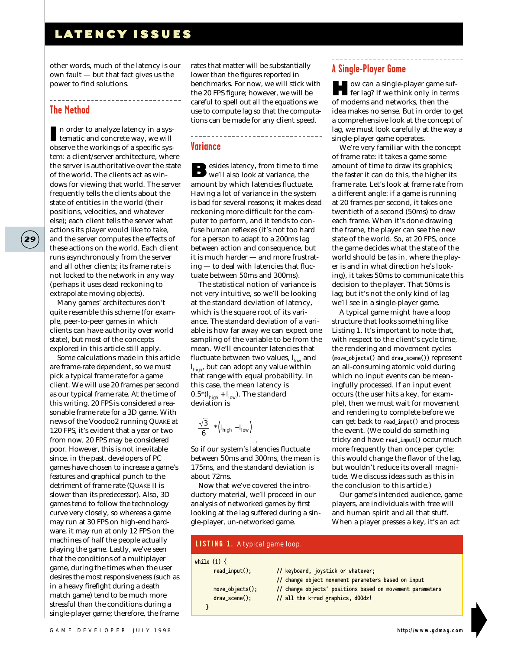\_\_\_\_\_\_\_\_\_\_\_\_\_\_\_\_\_\_\_\_\_\_\_\_\_\_

other words, much of the latency is our own fault — but that fact gives us the power to find solutions.

#### **The Method**

I n order to analyze latency in a sys-tematic and concrete way, we will observe the workings of a specific system: a client/server architecture, where the server is authoritative over the state of the world. The clients act as windows for viewing that world. The server frequently tells the clients about the state of entities in the world (their positions, velocities, and whatever else); each client tells the server what actions its player would like to take, and the server computes the effects of these actions on the world. Each client runs asynchronously from the server and all other clients; its frame rate is not locked to the network in any way (perhaps it uses dead reckoning to extrapolate moving objects).

Many games' architectures don't quite resemble this scheme (for example, peer-to-peer games in which clients can have authority over world state), but most of the concepts explored in this article still apply.

Some calculations made in this article are frame-rate dependent, so we must pick a typical frame rate for a game client. We will use 20 frames per second as our typical frame rate. At the time of this writing, 20 FPS is considered a reasonable frame rate for a 3D game. With news of the Voodoo2 running QUAKE at 120 FPS, it's evident that a year or two from now, 20 FPS may be considered poor. However, this is not inevitable since, in the past, developers of PC games have chosen to increase a game's features and graphical punch to the detriment of frame rate (QUAKE II is slower than its predecessor). Also, 3D games tend to follow the technology curve very closely, so whereas a game may run at 30 FPS on high-end hardware, it may run at only 12 FPS on the machines of half the people actually playing the game. Lastly, we've seen that the conditions of a multiplayer game, during the times when the user desires the most responsiveness (such as in a heavy firefight during a death match game) tend to be much more stressful than the conditions during a single-player game; therefore, the frame

rates that matter will be substantially lower than the figures reported in benchmarks. For now, we will stick with the 20 FPS figure; however, we will be careful to spell out all the equations we use to compute lag so that the computations can be made for any client speed.

\_\_\_\_\_\_\_\_\_\_\_\_\_\_\_\_\_\_\_\_\_\_\_\_\_\_\_\_\_\_\_\_\_\_\_

#### **Variance**

Besides latency, from time to time we'll also look at variance, the amount by which latencies fluctuate. Having a lot of variance in the system is bad for several reasons; it makes dead reckoning more difficult for the computer to perform, and it tends to confuse human reflexes (it's not too hard for a person to adapt to a 200ms lag between action and consequence, but it is much harder — and more frustrating — to deal with latencies that fluctuate between 50ms and 300ms).

The statistical notion of variance is not very intuitive, so we'll be looking at the standard deviation of latency, which is the square root of its variance. The standard deviation of a variable is how far away we can expect one sampling of the variable to be from the mean. We'll encounter latencies that fluctuate between two values, *l low* and *l high*, but can adopt any value within that range with equal probability. In this case, the mean latency is 0.5\*(*l high* + *l low*). The standard deviation is

$$
\left(\frac{\sqrt{3}}{6}\right)^{*}\left(I_{high}-I_{low}\right)
$$

So if our system's latencies fluctuate between 50ms and 300ms, the mean is 175ms, and the standard deviation is about 72ms.

.

Now that we've covered the introductory material, we'll proceed in our analysis of networked games by first looking at the lag suffered during a single-player, un-networked game.

### **A Single-Player Game**

How can a single-player game suf-fer lag? If we think only in terms of modems and networks, then the idea makes no sense. But in order to get a comprehensive look at the concept of lag, we must look carefully at the way a single-player game operates.

We're very familiar with the concept of frame rate: it takes a game some amount of time to draw its graphics; the faster it can do this, the higher its frame rate. Let's look at frame rate from a different angle: if a game is running at 20 frames per second, it takes one twentieth of a second (50ms) to draw each frame. When it's done drawing the frame, the player can see the new state of the world. So, at 20 FPS, once the game decides what the state of the world should be (as in, where the player is and in what direction he's looking), it takes 50ms to communicate this decision to the player. That 50ms is lag; but it's not the only kind of lag we'll see in a single-player game.

A typical game might have a loop structure that looks something like Listing 1. It's important to note that, with respect to the client's cycle time, the rendering and movement cycles (**move\_objects()** and **draw\_scene()**) represent an all-consuming atomic void during which no input events can be meaningfully processed. If an input event occurs (the user hits a key, for example), then we must wait for movement and rendering to complete before we can get back to **read\_input()** and process the event. (We could do something tricky and have **read\_input()** occur much more frequently than once per cycle; this would change the flavor of the lag, but wouldn't reduce its overall magnitude. We discuss ideas such as this in the conclusion to this article.)

Our game's intended audience, game players, are individuals with free will and human spirit and all that stuff. When a player presses a key, it's an act

#### **while (1) { read\_input(); // keyboard, joystick or whatever; // change object movement parameters based on input move\_objects(); // change objects' positions based on movement parameters draw\_scene(); // all the k-rad graphics, d00dz! } LISTING 1.** *A typical game loop.*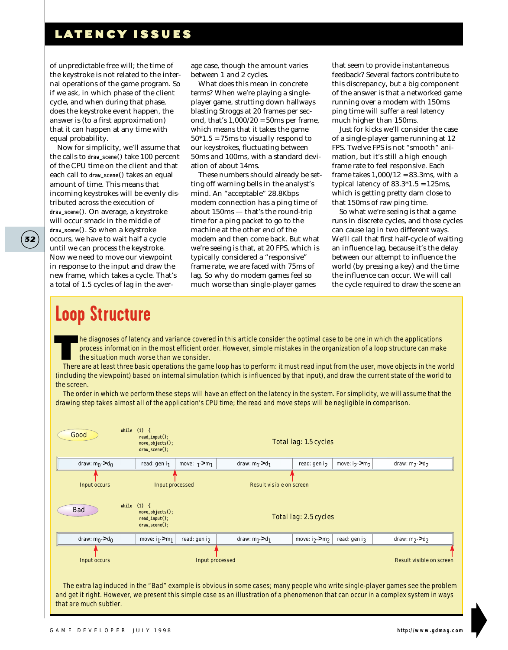of unpredictable free will; the time of the keystroke is not related to the internal operations of the game program. So if we ask, in which phase of the client cycle, and when during that phase, does the keystroke event happen, the answer is (to a first approximation) that it can happen at any time with equal probability.

Now for simplicity, we'll assume that the calls to **draw\_scene()** take 100 percent of the CPU time on the client and that each call to **draw\_scene()** takes an equal amount of time. This means that incoming keystrokes will be evenly distributed across the execution of **draw\_scene()***.* On average, a keystroke will occur smack in the middle of **draw\_scene()**. So when a keystroke occurs, we have to wait half a cycle until we can process the keystroke. Now we need to move our viewpoint in response to the input and draw the new frame, which takes a cycle. That's a total of 1.5 cycles of lag in the aver-

age case, though the amount varies between 1 and 2 cycles.

What does this mean in concrete terms? When we're playing a singleplayer game, strutting down hallways blasting Stroggs at 20 frames per second, that's  $1,000/20 = 50$ ms per frame, which means that it takes the game  $50*1.5 = 75$  ms to visually respond to our keystrokes, fluctuating between 50ms and 100ms, with a standard deviation of about 14ms.

These numbers should already be setting off warning bells in the analyst's mind. An "acceptable" 28.8Kbps modem connection has a ping time of about 150ms — that's the round-trip time for a ping packet to go to the machine at the other end of the modem and then come back. But what we're seeing is that, at 20 FPS, which is typically considered a "responsive" frame rate, we are faced with 75ms of lag. So why do modem games feel so much worse than single-player games

that seem to provide instantaneous feedback? Several factors contribute to this discrepancy, but a big component of the answer is that a networked game running over a modem with 150ms ping time will suffer a real latency much higher than 150ms.

Just for kicks we'll consider the case of a single-player game running at 12 FPS. Twelve FPS is not "smooth" animation, but it's still a high enough frame rate to feel responsive. Each frame takes  $1,000/12 = 83.3$ ms, with a typical latency of  $83.3*1.5 = 125$ ms, which is getting pretty darn close to that 150ms of raw ping time.

So what we're seeing is that a game runs in discrete cycles, and those cycles can cause lag in two different ways. We'll call that first half-cycle of waiting an influence lag, because it's the delay between our attempt to influence the world (by pressing a key) and the time the influence can occur. We will call the cycle required to draw the scene an

# **Loop Structure**

**32**

he diagnoses of latency and variance covered in this article consider the optimal case to be one in which the applications process information in the most efficient order. However, simple mistakes in the organization of a loop structure can make the situation much worse than we consider.

There are at least three basic operations the game loop has to perform: it must read input from the user, move objects in the world (including the viewpoint) based on internal simulation (which is influenced by that input), and draw the current state of the world to the screen.

The order in which we perform these steps will have an effect on the latency in the system. For simplicity, we will assume that the drawing step takes almost all of the application's CPU time; the read and move steps will be negligible in comparison.

| Good                              | while $(1)$ {<br>$read\_input()$ ;<br>$move_objects();$<br>$draw\_scene()$ ;                            |                              |                                 | <b>Total lag: 1.5 cycles</b> |                              |                                                                                                                              |
|-----------------------------------|---------------------------------------------------------------------------------------------------------|------------------------------|---------------------------------|------------------------------|------------------------------|------------------------------------------------------------------------------------------------------------------------------|
| draw: $m_0$ ->d <sub>0</sub>      | read: gen $i1$                                                                                          | move: $i_1$ ->m <sub>1</sub> | draw: $m_1$ ->d <sub>1</sub>    | read: gen i <sub>2</sub>     | move: $i_2$ ->m <sub>2</sub> | draw: m <sub>2</sub> > d <sub>2</sub>                                                                                        |
| <b>Input occurs</b><br><b>Bad</b> | <b>Input processed</b><br>while $(1)$ {<br>$move_objects()$ ;<br>$read\_input()$ ;<br>$draw\_scene()$ ; |                              | <b>Result visible on screen</b> | Total lag: 2.5 cycles        |                              |                                                                                                                              |
| draw: $m_0$ ->d <sub>0</sub>      | move: $i_1$ ->m <sub>1</sub>                                                                            | read: gen i <sub>2</sub>     | draw: $m_1$ ->d <sub>1</sub>    | move: $i_2$ ->m <sub>2</sub> | read: gen i3                 | draw: m <sub>2</sub> > d <sub>2</sub>                                                                                        |
| <b>Input occurs</b>               |                                                                                                         | <b>Input processed</b>       |                                 |                              |                              | <b>Result visible on screen</b>                                                                                              |
|                                   |                                                                                                         |                              |                                 |                              |                              | The extra leginduced in the "Dod" example is obvious in same sesse; many needs who write single player games see the problem |

The extra lag induced in the "Bad" example is obvious in some cases; many people who write single-player games see the problem and get it right. However, we present this simple case as an illustration of a phenomenon that can occur in a complex system in ways that are much subtler.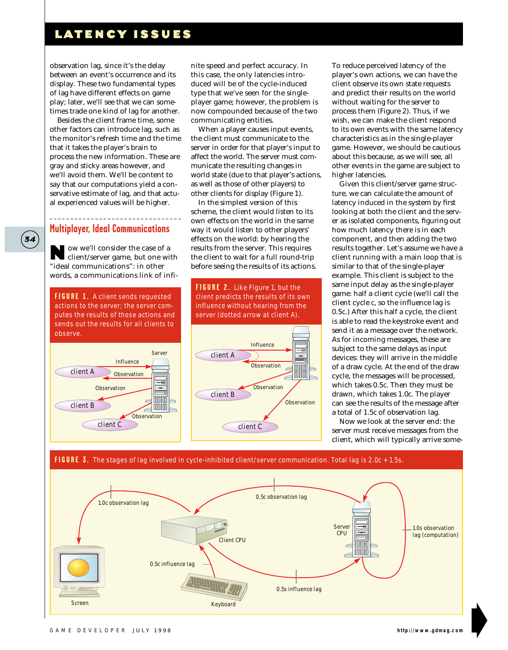observation lag, since it's the delay between an event's occurrence and its display. These two fundamental types of lag have different effects on game play; later, we'll see that we can sometimes trade one kind of lag for another.

Besides the client frame time, some other factors can introduce lag, such as the monitor's refresh time and the time that it takes the player's brain to process the new information. These are gray and sticky areas however, and we'll avoid them. We'll be content to say that our computations yield a conservative estimate of lag, and that actual experienced values will be higher.

#### **Multiplayer, Ideal Communications**

**34**

Now we'll consider the case of a client/server game, but one with "ideal communications": in other words, a communications link of infi-

.<br>sends out the results for all clients to **FIGURE 1.** *A client sends requested actions to the server; the server computes the results of those actions and observe.*



nite speed and perfect accuracy. In this case, the only latencies introduced will be of the cycle-induced type that we've seen for the singleplayer game; however, the problem is now compounded because of the two communicating entities.

When a player causes input events, the client must communicate to the server in order for that player's input to affect the world. The server must communicate the resulting changes in world state (due to that player's actions, as well as those of other players) to other clients for display (Figure 1).

In the simplest version of this scheme, the client would listen to its own effects on the world in the same way it would listen to other players' effects on the world: by hearing the results from the server. This requires the client to wait for a full round-trip before seeing the results of its actions.



To reduce perceived latency of the player's own actions, we can have the client observe its own state requests and predict their results on the world without waiting for the server to process them (Figure 2). Thus, if we wish, we can make the client respond to its own events with the same latency characteristics as in the single-player game. However, we should be cautious about this because, as we will see, all other events in the game are subject to higher latencies.

Given this client/server game structure, we can calculate the amount of latency induced in the system by first looking at both the client and the server as isolated components, figuring out how much latency there is in each component, and then adding the two results together. Let's assume we have a client running with a main loop that is similar to that of the single-player example. This client is subject to the same input delay as the single-player game: half a client cycle (we'll call the client cycle *c*, so the influence lag is 0.5*c*.) After this half a cycle, the client is able to read the keystroke event and send it as a message over the network. As for incoming messages, these are subject to the same delays as input devices: they will arrive in the middle of a draw cycle. At the end of the draw cycle, the messages will be processed, which takes 0.5*c*. Then they must be drawn, which takes 1.0*c*. The player can see the results of the message after a total of 1.5*c* of observation lag.

Now we look at the server end: the server must receive messages from the client, which will typically arrive some-

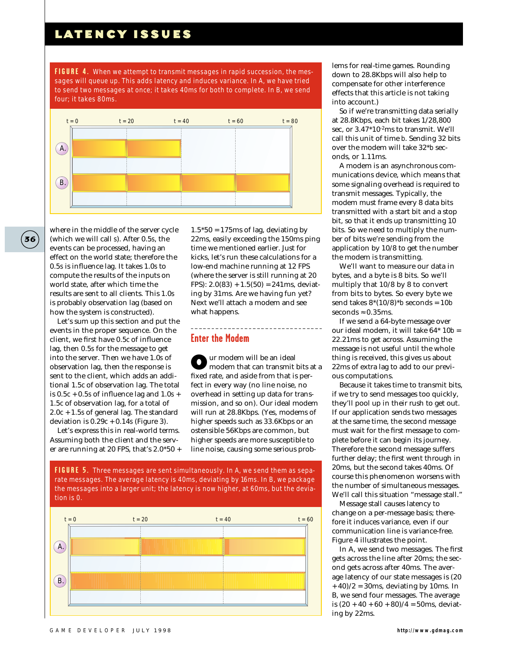to send two messages at once; it takes 40ms for both to complete. In B, we send **FIGURE 4.** *When we attempt to transmit messages in rapid succession, the messages will queue up. This adds latency and induces variance. In A, we have tried four; it takes 80ms.*



where in the middle of the server cycle (which we will call *s*). After 0.5*s*, the events can be processed, having an effect on the world state; therefore the 0.5*s* is influence lag. It takes 1.0*s* to compute the results of the inputs on world state, after which time the results are sent to all clients. This 1.0*s* is probably observation lag (based on how the system is constructed).

Let's sum up this section and put the events in the proper sequence. On the client, we first have 0.5*c* of influence lag, then 0.5*s* for the message to get into the server. Then we have 1.0*s* of observation lag, then the response is sent to the client, which adds an additional 1.5*c* of observation lag. The total is  $0.5c + 0.5s$  of influence lag and  $1.0s +$ 1.5*c* of observation lag, for a total of 2.0*c* + 1.5*s* of general lag. The standard deviation is  $0.29c + 0.14s$  (Figure 3).

Let's express this in real-world terms. Assuming both the client and the server are running at 20 FPS, that's 2.0\*50 +

 $1.5*50 = 175$  ms of lag, deviating by 22ms, easily exceeding the 150ms ping time we mentioned earlier. Just for kicks, let's run these calculations for a low-end machine running at 12 FPS (where the server is still running at 20 FPS):  $2.0(83) + 1.5(50) = 241$  ms, deviating by 31ms. Are we having fun yet? Next we'll attach a modem and see what happens.

 $- - - - - - - - - -$ 

#### **Enter the Modem**

Our modem will be an ideal modem that can transmit bits at a fixed rate, and aside from that is perfect in every way (no line noise, no overhead in setting up data for transmission, and so on). Our ideal modem will run at 28.8Kbps. (Yes, modems of higher speeds such as 33.6Kbps or an ostensible 56Kbps are common, but higher speeds are more susceptible to line noise, causing some serious prob-

the messages into a larger unit; the latency is now higher, at 60ms, but the devia-**FIGURE 5.** *Three messages are sent simultaneously. In A, we send them as separate messages. The average latency is 40ms, deviating by 16ms. In B, we package tion is 0.*



lems for real-time games. Rounding down to 28.8Kbps will also help to compensate for other interference effects that this article is not taking into account.)

So if we're transmitting data serially at 28.8Kbps, each bit takes 1/28,800 sec, or  $3.47*10<sup>-2</sup>$ ms to transmit. We'll call this unit of time *b*. Sending 32 bits over the modem will take 32\**b* seconds, or 1.11ms.

A modem is an asynchronous communications device, which means that some signaling overhead is required to transmit messages. Typically, the modem must frame every 8 data bits transmitted with a start bit and a stop bit, so that it ends up transmitting 10 bits. So we need to multiply the number of bits we're sending from the application by 10/8 to get the number the modem is transmitting.

We'll want to measure our data in bytes, and a byte is 8 bits. So we'll multiply that 10/8 by 8 to convert from bits to bytes. So every byte we send takes 8\*(10/8)\**b* seconds = 10*b* seconds  $\approx 0.35$ ms.

If we send a 64-byte message over our ideal modem, it will take 64\* 10*b* = 22.21ms to get across. Assuming the message is not useful until the whole thing is received, this gives us about 22ms of extra lag to add to our previous computations.

Because it takes time to transmit bits, if we try to send messages too quickly, they'll pool up in their rush to get out. If our application sends two messages at the same time, the second message must wait for the first message to complete before it can begin its journey. Therefore the second message suffers further delay; the first went through in 20ms, but the second takes 40ms. Of course this phenomenon worsens with the number of simultaneous messages. We'll call this situation "message stall."

Message stall causes latency to change on a per-message basis; therefore it induces variance, even if our communication line is variance-free. Figure 4 illustrates the point.

In A, we send two messages. The first gets across the line after 20ms; the second gets across after 40ms. The average latency of our state messages is (20  $+ 40$ / $2 = 30$ ms, deviating by 10ms. In B, we send four messages. The average is  $(20 + 40 + 60 + 80)/4 = 50$ ms, deviating by 22ms.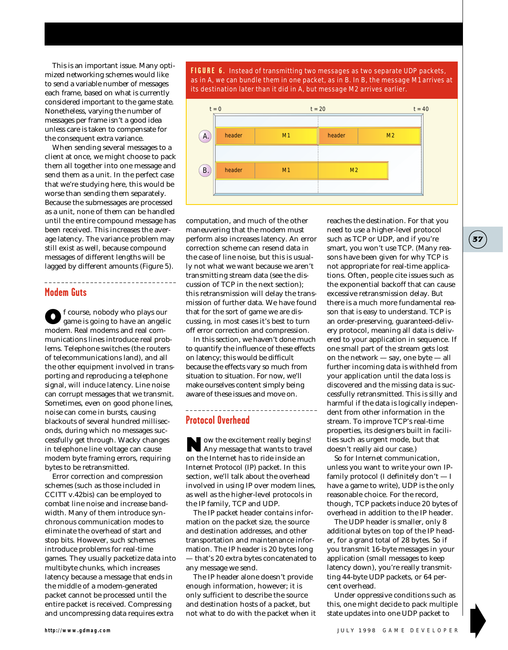This is an important issue. Many optimized networking schemes would like to send a variable number of messages each frame, based on what is currently considered important to the game state. Nonetheless, varying the number of messages per frame isn't a good idea unless care is taken to compensate for the consequent extra variance.

When sending several messages to a client at once, we might choose to pack them all together into one message and send them as a unit. In the perfect case that we're studying here, this would be worse than sending them separately. Because the submessages are processed as a unit, none of them can be handled until the entire compound message has been received. This increases the average latency. The variance problem may still exist as well, because compound messages of different lengths will be lagged by different amounts (Figure 5).

#### **Modem Guts**

Of course, nobody who plays our game is going to have an angelic modem. Real modems and real communications lines introduce real problems. Telephone switches (the routers of telecommunications land), and all the other equipment involved in transporting and reproducing a telephone signal, will induce latency. Line noise can corrupt messages that we transmit. Sometimes, even on good phone lines, noise can come in bursts, causing blackouts of several hundred milliseconds, during which no messages successfully get through. Wacky changes in telephone line voltage can cause modem byte framing errors, requiring bytes to be retransmitted.

Error correction and compression schemes (such as those included in CCITT v.42bis) can be employed to combat line noise and increase bandwidth. Many of them introduce synchronous communication modes to eliminate the overhead of start and stop bits. However, such schemes introduce problems for real-time games. They usually packetize data into multibyte chunks, which increases latency because a message that ends in the middle of a modem-generated packet cannot be processed until the entire packet is received. Compressing and uncompressing data requires extra

as in A, we can bundle them in one packet, as in B. In B, the message M1 arrives at **FIGURE 6.** *Instead of transmitting two messages as two separate UDP packets, its destination later than it did in A, but message M2 arrives earlier.*



computation, and much of the other maneuvering that the modem must perform also increases latency. An error correction scheme can resend data in the case of line noise, but this is usually not what we want because we aren't transmitting stream data (see the discussion of TCP in the next section); this retransmission will delay the transmission of further data. We have found that for the sort of game we are discussing, in most cases it's best to turn off error correction and compression.

In this section, we haven't done much to quantify the influence of these effects on latency; this would be difficult because the effects vary so much from situation to situation. For now, we'll make ourselves content simply being aware of these issues and move on.

------------------------------

#### **Protocol Overhead**

Now the excitement really begins! Any message that wants to travel on the Internet has to ride inside an Internet Protocol (IP) packet. In this section, we'll talk about the overhead involved in using IP over modem lines, as well as the higher-level protocols in the IP family, TCP and UDP.

The IP packet header contains information on the packet size, the source and destination addresses, and other transportation and maintenance information. The IP header is 20 bytes long — that's 20 extra bytes concatenated to any message we send.

The IP header alone doesn't provide enough information, however; it is only sufficient to describe the source and destination hosts of a packet, but not what to do with the packet when it reaches the destination. For that you need to use a higher-level protocol such as TCP or UDP, and if you're smart, you won't use TCP. (Many reasons have been given for why TCP is not appropriate for real-time applications. Often, people cite issues such as the exponential backoff that can cause excessive retransmission delay. But there is a much more fundamental reason that is easy to understand. TCP is an order-preserving, guaranteed-delivery protocol, meaning all data is delivered to your application in sequence. If one small part of the stream gets lost on the network — say, one byte — all further incoming data is withheld from your application until the data loss is discovered and the missing data is successfully retransmitted. This is silly and harmful if the data is logically independent from other information in the stream. To improve TCP's real-time properties, its designers built in facilities such as urgent mode, but that doesn't really aid our case.)

So for Internet communication, unless you want to write your own IPfamily protocol (I definitely don't — I have a game to write), UDP is the only reasonable choice. For the record, though, TCP packets induce 20 bytes of overhead in addition to the IP header.

The UDP header is smaller, only 8 additional bytes on top of the IP header, for a grand total of 28 bytes. So if you transmit 16-byte messages in your application (small messages to keep latency down), you're really transmitting 44-byte UDP packets, or 64 percent overhead.

Under oppressive conditions such as this, one might decide to pack multiple state updates into one UDP packet to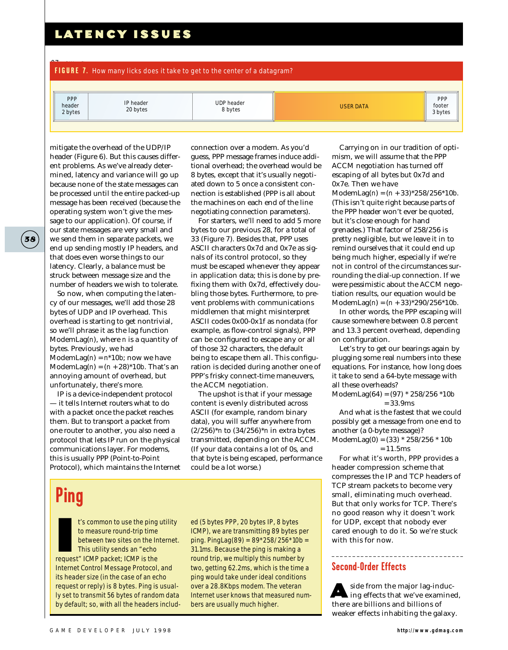07Blow8.gd **FIGURE 7.** *How many licks does it take to get to the center of a datagram?*

| <b>PPP</b><br>header<br>2 bytes | IP header<br>20 bytes | <b>UDP header</b><br>8 bytes | <b>USER DATA</b> | <b>PPP</b><br>footer<br>3 bytes |
|---------------------------------|-----------------------|------------------------------|------------------|---------------------------------|
|                                 |                       |                              |                  |                                 |

mitigate the overhead of the UDP/IP header (Figure 6). But this causes different problems. As we've already determined, latency and variance will go up because none of the state messages can be processed until the entire packed-up message has been received (because the operating system won't give the message to our application). Of course, if our state messages are very small and we send them in separate packets, we end up sending mostly IP headers, and that does even worse things to our latency. Clearly, a balance must be struck between message size and the number of headers we wish to tolerate.

So now, when computing the latency of our messages, we'll add those 28 bytes of UDP and IP overhead. This overhead is starting to get nontrivial, so we'll phrase it as the lag function ModemLag(*n*), where *n* is a quantity of bytes. Previously, we had ModemLag( $n$ ) =  $n$ <sup>\*</sup>10*b*; now we have ModemLag( $n$ ) =  $(n + 28)*10b$ . That's an annoying amount of overhead, but unfortunately, there's more.

IP is a device-independent protocol — it tells Internet routers what to do with a packet once the packet reaches them. But to transport a packet from one router to another, you also need a protocol that lets IP run on the physical communications layer. For modems, this is usually PPP (Point-to-Point Protocol), which maintains the Internet

connection over a modem. As you'd guess, PPP message frames induce additional overhead; the overhead would be 8 bytes, except that it's usually negotiated down to 5 once a consistent connection is established (PPP is all about the machines on each end of the line negotiating connection parameters).

For starters, we'll need to add 5 more bytes to our previous 28, for a total of 33 (Figure 7). Besides that, PPP uses ASCII characters 0x7d and 0x7e as signals of its control protocol, so they must be escaped whenever they appear in application data; this is done by prefixing them with 0x7d, effectively doubling those bytes. Furthermore, to prevent problems with communications middlemen that might misinterpret ASCII codes 0x00-0x1f as nondata (for example, as flow-control signals), PPP can be configured to escape any or all of those 32 characters, the default being to escape them all. This configuration is decided during another one of PPP's frisky connect-time maneuvers, the ACCM negotiation.

The upshot is that if your message content is evenly distributed across ASCII (for example, random binary data), you will suffer anywhere from (2/256)\**n* to (34/256)\**n* in extra bytes transmitted, depending on the ACCM. (If your data contains a lot of 0s, and that byte is being escaped, performance could be a lot worse.)

# **Ping**

I's common to use the ping<br>to measure round-trip time<br>between two sites on the Ir<br>This utility sends an "echo<br>request" ICMP packet; ICMP is the t's common to use the ping utility to measure round-trip time between two sites on the Internet. This utility sends an "echo Internet Control Message Protocol, and its header size (in the case of an echo request or reply) is 8 bytes. Ping is usually set to transmit 56 bytes of random data by default; so, with all the headers includ-

ed (5 bytes PPP, 20 bytes IP, 8 bytes ICMP), we are transmitting 89 bytes per ping. PingLag(89) = 89\*258/256\*10*b* = 31.1ms. Because the ping is making a round trip, we multiply this number by two, getting 62.2ms, which is the time a ping would take under ideal conditions over a 28.8Kbps modem. The veteran Internet user knows that measured numbers are usually much higher.

Carrying on in our tradition of optimism, we will assume that the PPP ACCM negotiation has turned off escaping of all bytes but 0x7d and 0x7e. Then we have ModemLag(*n*) = (*n* + 33)\*258/256\*10*b*. (This isn't quite right because parts of the PPP header won't ever be quoted, but it's close enough for hand grenades.) That factor of 258/256 is pretty negligible, but we leave it in to remind ourselves that it could end up being much higher, especially if we're not in control of the circumstances surrounding the dial-up connection. If we were pessimistic about the ACCM negotiation results, our equation would be ModemLag(*n*) = (*n* + 33)\*290/256\*10*b*.

In other words, the PPP escaping will cause somewhere between 0.8 percent and 13.3 percent overhead, depending on configuration.

Let's try to get our bearings again by plugging some real numbers into these equations. For instance, how long does it take to send a 64-byte message with all these overheads?

ModemLag(64) = (97) \* 258/256 \*10*b* = 33.9ms

And what is the fastest that we could possibly get a message from one end to another (a 0-byte message)? ModemLag(0) = (33) \* 258/256 \* 10*b*

 $= 11.5$ ms

For what it's worth, PPP provides a header compression scheme that compresses the IP and TCP headers of TCP stream packets to become very small, eliminating much overhead. But that only works for TCP. There's no good reason why it doesn't work for UDP, except that nobody ever cared enough to do it. So we're stuck with this for now.

#### **Second-Order Effects**

A side from the major lag-induc-ing effects that we've examined, there are billions and billions of weaker effects inhabiting the galaxy.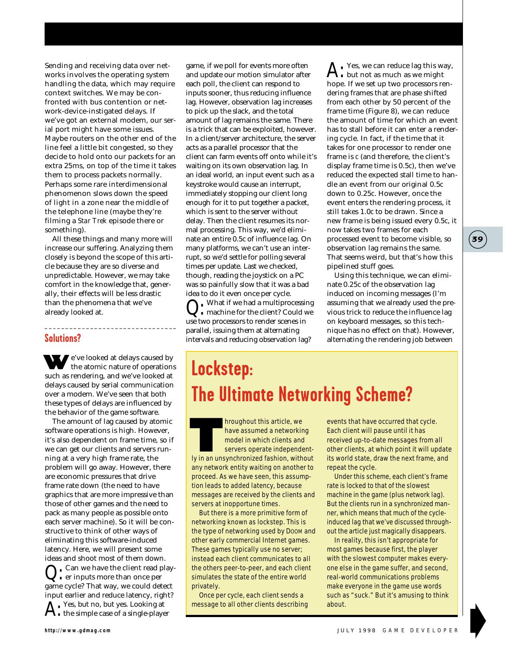Sending and receiving data over networks involves the operating system handling the data, which may require context switches. We may be confronted with bus contention or network-device-instigated delays. If we've got an external modem, our serial port might have some issues. Maybe routers on the other end of the line feel a little bit congested, so they decide to hold onto our packets for an extra 25ms, on top of the time it takes them to process packets normally. Perhaps some rare interdimensional phenomenon slows down the speed of light in a zone near the middle of the telephone line (maybe they're filming a *Star Trek* episode there or something).

All these things and many more will increase our suffering. Analyzing them closely is beyond the scope of this article because they are so diverse and unpredictable. However, we may take comfort in the knowledge that, generally, their effects will be less drastic than the phenomena that we've already looked at.

---------------------------------

#### **Solutions?**

We've looked at delays caused by the atomic nature of operations such as rendering, and we've looked at delays caused by serial communication over a modem. We've seen that both these types of delays are influenced by the behavior of the game software.

The amount of lag caused by atomic software operations is high. However, it's also dependent on frame time, so if we can get our clients and servers running at a very high frame rate, the problem will go away. However, there are economic pressures that drive frame rate down (the need to have graphics that are more impressive than those of other games and the need to pack as many people as possible onto each server machine). So it will be constructive to think of other ways of eliminating this software-induced latency. Here, we will present some ideas and shoot most of them down.  $_{\bullet}$  Can we have the client read player inputs more than once per game cycle? That way, we could detect

input earlier and reduce latency, right?  $\sum_{i=1}^{n}$  Yes, but no, but yes. Looking at • the simple case of a single-player

game, if we poll for events more often and update our motion simulator after each poll, the client can respond to inputs sooner, thus reducing influence lag. However, observation lag increases to pick up the slack, and the total amount of lag remains the same. There is a trick that can be exploited, however. In a client/server architecture, the server acts as a parallel processor that the client can farm events off onto while it's waiting on its own observation lag. In an ideal world, an input event such as a keystroke would cause an interrupt, immediately stopping our client long enough for it to put together a packet, which is sent to the server without delay. Then the client resumes its normal processing. This way, we'd eliminate an entire 0.5*c* of influence lag. On many platforms, we can't use an interrupt, so we'd settle for polling several times per update. Last we checked, though, reading the joystick on a PC was so painfully slow that it was a bad idea to do it even once per cycle.

. What if we had a multiprocessing machine for the client? Could we use two processors to render scenes in parallel, issuing them at alternating intervals and reducing observation lag?

**A**: Yes, we can reduce lag this way, but not as much as we might hope. If we set up two processors rendering frames that are phase shifted from each other by 50 percent of the frame time (Figure 8), we can reduce the amount of time for which an event has to stall before it can enter a rendering cycle. In fact, if the time that it takes for one processor to render one frame is *c* (and therefore, the client's display frame time is 0.5*c*), then we've reduced the expected stall time to handle an event from our original 0.5*c* down to 0.25*c*. However, once the event enters the rendering process, it still takes 1.0*c* to be drawn. Since a new frame is being issued every 0.5*c*, it now takes two frames for each processed event to become visible, so observation lag remains the same. That seems weird, but that's how this pipelined stuff goes.

**39**

Using this technique, we can eliminate 0.25*c* of the observation lag induced on incoming messages (I'm assuming that we already used the previous trick to reduce the influence lag on keyboard messages, so this technique has no effect on that). However, alternating the rendering job between

# **Lockstep: The Ultimate Networking Scheme?**

Internation and this article, we<br>
have assumed a networking<br>
model in which clients and<br>
servers operate independent-<br>
ly in an unsynchronized fashion, without have assumed a networking model in which clients and servers operate independentany network entity waiting on another to proceed. As we have seen, this assumption leads to added latency, because messages are received by the clients and servers at inopportune times.

But there is a more primitive form of networking known as lockstep. This is the type of networking used by Doom and other early commercial Internet games. These games typically use no server; instead each client communicates to all the others peer-to-peer, and each client simulates the state of the entire world privately.

Once per cycle, each client sends a message to all other clients describing events that have occurred that cycle. Each client will pause until it has received up-to-date messages from all other clients, at which point it will update its world state, draw the next frame, and repeat the cycle.

Under this scheme, each client's frame rate is locked to that of the slowest machine in the game (plus network lag). But the clients run in a synchronized manner, which means that much of the cycleinduced lag that we've discussed throughout the article just magically disappears.

In reality, this isn't appropriate for most games because first, the player with the slowest computer makes everyone else in the game suffer, and second, real-world communications problems make everyone in the game use words such as "suck." But it's amusing to think about.